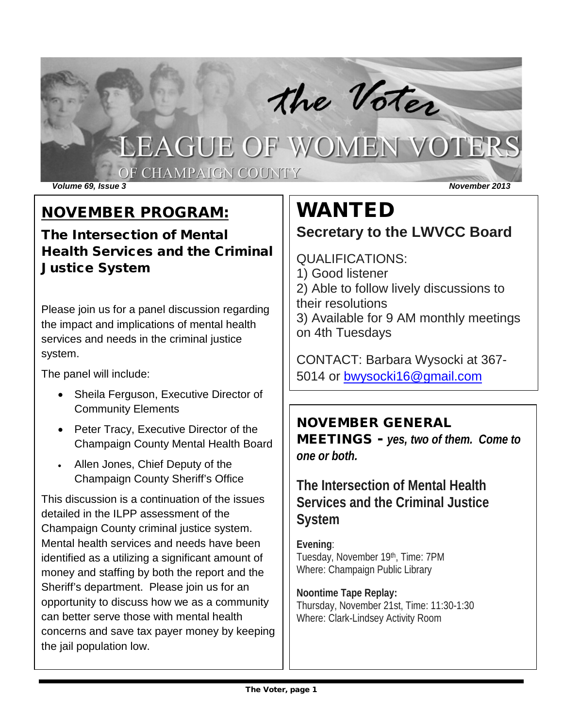# the Voter

OF CHAMPAIGN COUNTY

*Volume 69, Issue 3 November 2013*

## NOVEMBER PROGRAM:

The Intersection of Mental Health Services and the Criminal Justice System

Please join us for a panel discussion regarding the impact and implications of mental health services and needs in the criminal justice system.

The panel will include:

- Sheila Ferguson, Executive Director of Community Elements
- Peter Tracy, Executive Director of the Champaign County Mental Health Board
- Allen Jones, Chief Deputy of the Champaign County Sheriff's Office

This discussion is a continuation of the issues detailed in the ILPP assessment of the Champaign County criminal justice system. Mental health services and needs have been identified as a utilizing a significant amount of money and staffing by both the report and the Sheriff's department. Please join us for an opportunity to discuss how we as a community can better serve those with mental health concerns and save tax payer money by keeping the jail population low.

# WANTED

### **Secretary to the LWVCC Board**

QUALIFICATIONS: 1) Good listener 2) Able to follow lively discussions to their resolutions 3) Available for 9 AM monthly meetings on 4th Tuesdays

CONTACT: Barbara Wysocki at 367- 5014 or [bwysocki16@gmail.com](mailto:bwysocki16@gmail.com)

#### NOVEMBER GENERAL

MEETINGS - *yes, two of them. Come to one or both.*

**The Intersection of Mental Health Services and the Criminal Justice System**

**Evening**: Tuesday, November 19th, Time: 7PM Where: Champaign Public Library

**Noontime Tape Replay:** Thursday, November 21st, Time: 11:30-1:30 Where: Clark-Lindsey Activity Room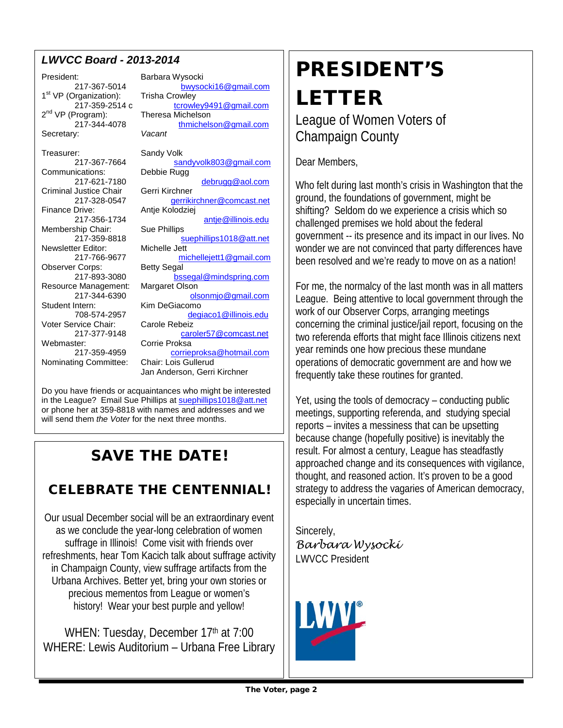#### *LWVCC Board - 2013-2014*

President: Barbara Wysocki 1st VP (Organization):<br>217-359-2514 c  $2^{nd}$  VP (Program): Secretary: Treasurer: Sandy Volk<br>217-367-7664 sal Communications: Criminal Justice Chair<br>217-328-0547 Membership Chair: Sue Phillips<br>217-359-8818 Newsletter Editor:<br>217-766-9677

217-367-5014 [bwysocki16@gmail.com](mailto:bwysocki16@gmail.com)<br>Draanization): Trisha Crowley [tcrowley9491@gmail.com](mailto:tcrowley9491@gmail.com)<br>Theresa Michelson 217-344-4078 [thmichelson@gmail.com](mailto:hmichelson@gmail.com)<br>v: Vacant [sandyvolk803@gmail.com](mailto:sandyvolk803@gmail.com)<br>Debbie Rugg 217-621-7180 [debrugg@aol.com](mailto:debrugg@aol.com)<br>Justice Chair Gerri Kirchner 217-328-0547 [gerrikirchner@comcast.net](mailto:gerrikirchner@comcast.net)<br>Finance Drive: Antie Kolodziei Antje Kolodziej 217-356-1734 [antje@illinois.edu](mailto:antje@illinois.edu) [suephillips1018@att.net](mailto:suephillips1018@att.net)<br>Michelle Jett [michellejett1@gmail.com](mailto:michellejett1@gmail.com) Observer Corps: Betty Segal 217-893-3080 [bssegal@mindspring.com](mailto:bssegal@mindspring.com) Resource Management: Margaret Olson 217-344-6390 [olsonmjo@gmail.com](mailto:olsonmjo@gmail.com) Student Intern: Kim DeGiacomo 708-574-2957 [degiaco1@illinois.edu](mailto:degiaco1@illinois.edu) Voter Service Chair: Carole Rebeiz<br>217-377-9148 card 217-377-9148 caroler57@comcast.net ter: Corrie Proksa<br>217-359-4959 corrier [corrieproksa@hotmail.com](mailto:corrieproksa@hotmail.com) Nominating Committee: Chair: Lois Gullerud Jan Anderson, Gerri Kirchner

Do you have friends or acquaintances who might be interested in the League? Email Sue Phillips a[t suephillips1018@att.net](mailto:suephillips1018@att.net) or phone her at 359-8818 with names and addresses and we will send them *the Voter* for the next three months.

## SAVE THE DATE!

### CELEBRATE THE CENTENNIAL!

Our usual December social will be an extraordinary event as we conclude the year-long celebration of women suffrage in Illinois! Come visit with friends over refreshments, hear Tom Kacich talk about suffrage activity in Champaign County, view suffrage artifacts from the Urbana Archives. Better yet, bring your own stories or precious mementos from League or women's history! Wear your best purple and yellow!

WHEN: Tuesday, December 17th at 7:00 WHERE: Lewis Auditorium – Urbana Free Library

# PRESIDENT'S LETTER

League of Women Voters of Champaign County

Dear Members,

Who felt during last month's crisis in Washington that the ground, the foundations of government, might be shifting? Seldom do we experience a crisis which so challenged premises we hold about the federal government -- its presence and its impact in our lives. No wonder we are not convinced that party differences have been resolved and we're ready to move on as a nation!

For me, the normalcy of the last month was in all matters League. Being attentive to local government through the work of our Observer Corps, arranging meetings concerning the criminal justice/jail report, focusing on the two referenda efforts that might face Illinois citizens next year reminds one how precious these mundane operations of democratic government are and how we frequently take these routines for granted.

Yet, using the tools of democracy – conducting public meetings, supporting referenda, and studying special reports – invites a messiness that can be upsetting because change (hopefully positive) is inevitably the result. For almost a century, League has steadfastly approached change and its consequences with vigilance, thought, and reasoned action. It's proven to be a good strategy to address the vagaries of American democracy, especially in uncertain times.

Sincerely, *Barbara Wysocki* LWVCC President

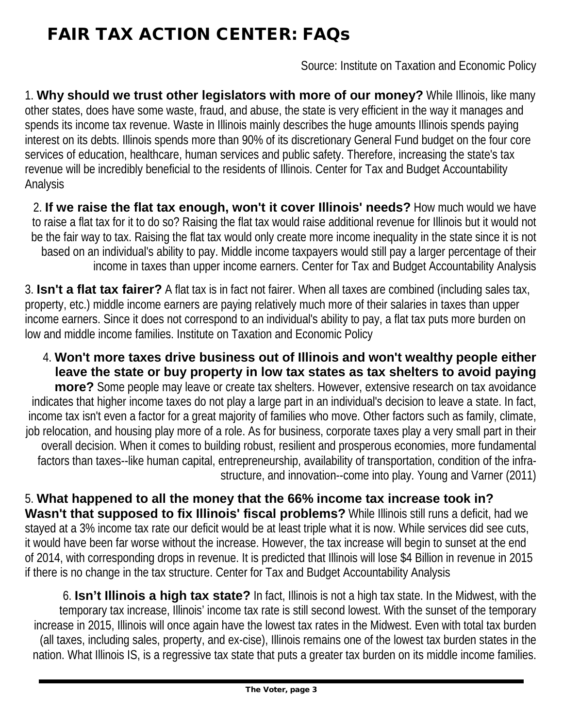# FAIR TAX ACTION CENTER: FAQs

Source: Institute on Taxation and Economic Policy

1. **Why should we trust other legislators with more of our money?** While Illinois, like many other states, does have some waste, fraud, and abuse, the state is very efficient in the way it manages and spends its income tax revenue. Waste in Illinois mainly describes the huge amounts Illinois spends paying interest on its debts. Illinois spends more than 90% of its discretionary General Fund budget on the four core services of education, healthcare, human services and public safety. Therefore, increasing the state's tax revenue will be incredibly beneficial to the residents of Illinois. Center for Tax and Budget Accountability Analysis

2. **If we raise the flat tax enough, won't it cover Illinois' needs?** How much would we have to raise a flat tax for it to do so? Raising the flat tax would raise additional revenue for Illinois but it would not be the fair way to tax. Raising the flat tax would only create more income inequality in the state since it is not based on an individual's ability to pay. Middle income taxpayers would still pay a larger percentage of their income in taxes than upper income earners. Center for Tax and Budget Accountability Analysis

3. **Isn't a flat tax fairer?** A flat tax is in fact not fairer. When all taxes are combined (including sales tax, property, etc.) middle income earners are paying relatively much more of their salaries in taxes than upper income earners. Since it does not correspond to an individual's ability to pay, a flat tax puts more burden on low and middle income families. Institute on Taxation and Economic Policy

4. **Won't more taxes drive business out of Illinois and won't wealthy people either leave the state or buy property in low tax states as tax shelters to avoid paying more?** Some people may leave or create tax shelters. However, extensive research on tax avoidance indicates that higher income taxes do not play a large part in an individual's decision to leave a state. In fact, income tax isn't even a factor for a great majority of families who move. Other factors such as family, climate, job relocation, and housing play more of a role. As for business, corporate taxes play a very small part in their overall decision. When it comes to building robust, resilient and prosperous economies, more fundamental factors than taxes--like human capital, entrepreneurship, availability of transportation, condition of the infrastructure, and innovation--come into play. Young and Varner (2011)

5. **What happened to all the money that the 66% income tax increase took in? Wasn't that supposed to fix Illinois' fiscal problems?** While Illinois still runs a deficit, had we stayed at a 3% income tax rate our deficit would be at least triple what it is now. While services did see cuts, it would have been far worse without the increase. However, the tax increase will begin to sunset at the end of 2014, with corresponding drops in revenue. It is predicted that Illinois will lose \$4 Billion in revenue in 2015 if there is no change in the tax structure. Center for Tax and Budget Accountability Analysis

6. **Isn't Illinois a high tax state?** In fact, Illinois is not a high tax state. In the Midwest, with the temporary tax increase, Illinois' income tax rate is still second lowest. With the sunset of the temporary increase in 2015, Illinois will once again have the lowest tax rates in the Midwest. Even with total tax burden (all taxes, including sales, property, and ex-cise), Illinois remains one of the lowest tax burden states in the nation. What Illinois IS, is a regressive tax state that puts a greater tax burden on its middle income families.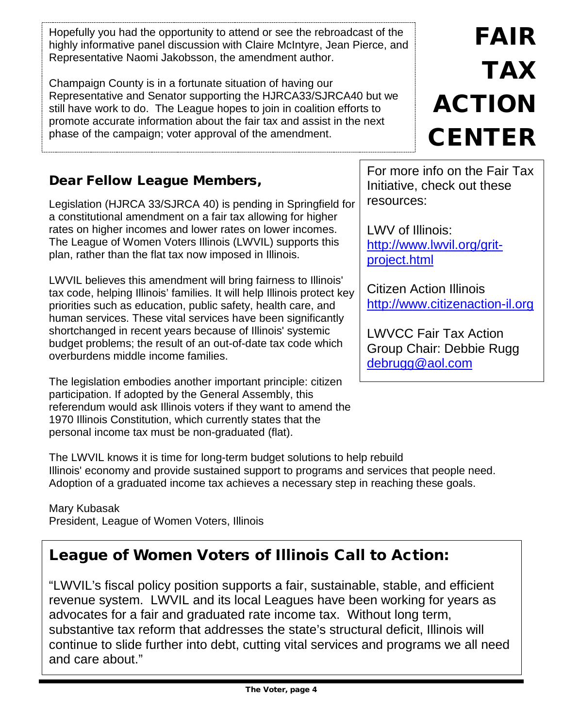Hopefully you had the opportunity to attend or see the rebroadcast of the highly informative panel discussion with Claire McIntyre, Jean Pierce, and Representative Naomi Jakobsson, the amendment author.

Champaign County is in a fortunate situation of having our Representative and Senator supporting the HJRCA33/SJRCA40 but we still have work to do. The League hopes to join in coalition efforts to promote accurate information about the fair tax and assist in the next phase of the campaign; voter approval of the amendment.

#### Dear Fellow League Members,

Legislation (HJRCA 33/SJRCA 40) is pending in Springfield for a constitutional amendment on a fair tax allowing for higher rates on higher incomes and lower rates on lower incomes. The League of Women Voters Illinois (LWVIL) supports this plan, rather than the flat tax now imposed in Illinois.

LWVIL believes this amendment will bring fairness to Illinois' tax code, helping Illinois' families. It will help Illinois protect key priorities such as education, public safety, health care, and human services. These vital services have been significantly shortchanged in recent years because of Illinois' systemic budget problems; the result of an out-of-date tax code which overburdens middle income families.

The legislation embodies another important principle: citizen participation. If adopted by the General Assembly, this referendum would ask Illinois voters if they want to amend the 1970 Illinois Constitution, which currently states that the personal income tax must be non-graduated (flat).

The LWVIL knows it is time for long-term budget solutions to help rebuild Illinois' economy and provide sustained support to programs and services that people need. Adoption of a graduated income tax achieves a necessary step in reaching these goals.

Mary Kubasak President, League of Women Voters, Illinois

## League of Women Voters of Illinois Call to Action:

"LWVIL's fiscal policy position supports a fair, sustainable, stable, and efficient revenue system. LWVIL and its local Leagues have been working for years as advocates for a fair and graduated rate income tax. Without long term, substantive tax reform that addresses the state's structural deficit, Illinois will continue to slide further into debt, cutting vital services and programs we all need and care about."

# FAIR TAX ACTION **CENTER**

For more info on the Fair Tax Initiative, check out these resources:

LWV of Illinois: [http://www.lwvil.org/grit](http://www.lwvil.org/grit-project.html)[project.html](http://www.lwvil.org/grit-project.html)

Citizen Action Illinois [http://www.citizenaction-il.org](http://www.citizenaction-il.org/)

LWVCC Fair Tax Action Group Chair: Debbie Rugg [debrugg@aol.com](mailto:debrugg@aol.com)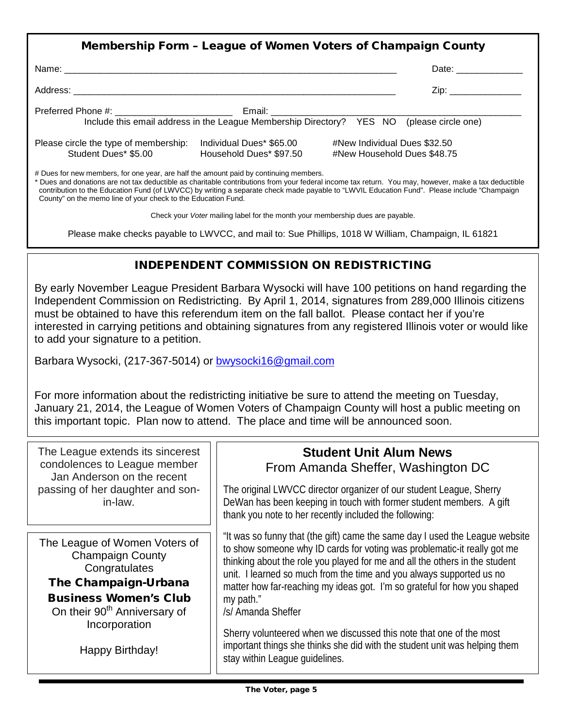|                                                                                                                                                                                                                                                                                                                                                                                                                                                                  | Membership Form - League of Women Voters of Champaign County |                                                             |                         |  |
|------------------------------------------------------------------------------------------------------------------------------------------------------------------------------------------------------------------------------------------------------------------------------------------------------------------------------------------------------------------------------------------------------------------------------------------------------------------|--------------------------------------------------------------|-------------------------------------------------------------|-------------------------|--|
|                                                                                                                                                                                                                                                                                                                                                                                                                                                                  |                                                              |                                                             | Date: _________________ |  |
|                                                                                                                                                                                                                                                                                                                                                                                                                                                                  |                                                              |                                                             |                         |  |
|                                                                                                                                                                                                                                                                                                                                                                                                                                                                  |                                                              |                                                             |                         |  |
| Please circle the type of membership:<br>Student Dues* \$5.00                                                                                                                                                                                                                                                                                                                                                                                                    | Individual Dues* \$65.00<br>Household Dues* \$97.50          | #New Individual Dues \$32.50<br>#New Household Dues \$48.75 |                         |  |
| # Dues for new members, for one year, are half the amount paid by continuing members.<br>* Dues and donations are not tax deductible as charitable contributions from your federal income tax return. You may, however, make a tax deductible<br>contribution to the Education Fund (of LWVCC) by writing a separate check made payable to "LWVIL Education Fund". Please include "Champaign<br>County" on the memo line of your check to the Education Fund.    |                                                              |                                                             |                         |  |
| Check your Voter mailing label for the month your membership dues are payable.                                                                                                                                                                                                                                                                                                                                                                                   |                                                              |                                                             |                         |  |
| Please make checks payable to LWVCC, and mail to: Sue Phillips, 1018 W William, Champaign, IL 61821                                                                                                                                                                                                                                                                                                                                                              |                                                              |                                                             |                         |  |
|                                                                                                                                                                                                                                                                                                                                                                                                                                                                  | <b>INDEPENDENT COMMISSION ON REDISTRICTING</b>               |                                                             |                         |  |
| By early November League President Barbara Wysocki will have 100 petitions on hand regarding the<br>Independent Commission on Redistricting. By April 1, 2014, signatures from 289,000 Illinois citizens<br>must be obtained to have this referendum item on the fall ballot. Please contact her if you're<br>interested in carrying petitions and obtaining signatures from any registered Illinois voter or would like<br>to add your signature to a petition. |                                                              |                                                             |                         |  |
| Barbara Wysocki, (217-367-5014) or bwysocki16@gmail.com                                                                                                                                                                                                                                                                                                                                                                                                          |                                                              |                                                             |                         |  |
| For more information about the redistricting initiative be sure to attend the meeting on Tuesday,                                                                                                                                                                                                                                                                                                                                                                |                                                              |                                                             |                         |  |

For more information about the redistricting initiative be sure to attend the meeting on Tuesday, January 21, 2014, the League of Women Voters of Champaign County will host a public meeting on this important topic. Plan now to attend. The place and time will be announced soon.

| The League extends its sincerest<br>condolences to League member<br>Jan Anderson on the recent<br>passing of her daughter and son-<br>in-law.                                                                     | <b>Student Unit Alum News</b><br>From Amanda Sheffer, Washington DC                                                                                                                                                                                                                                                                                                                                                                                                                                                                                                                                                   |
|-------------------------------------------------------------------------------------------------------------------------------------------------------------------------------------------------------------------|-----------------------------------------------------------------------------------------------------------------------------------------------------------------------------------------------------------------------------------------------------------------------------------------------------------------------------------------------------------------------------------------------------------------------------------------------------------------------------------------------------------------------------------------------------------------------------------------------------------------------|
|                                                                                                                                                                                                                   | The original LWVCC director organizer of our student League, Sherry<br>DeWan has been keeping in touch with former student members. A gift<br>thank you note to her recently included the following:                                                                                                                                                                                                                                                                                                                                                                                                                  |
| The League of Women Voters of<br><b>Champaign County</b><br>Congratulates<br>The Champaign-Urbana<br><b>Business Women's Club</b><br>On their 90 <sup>th</sup> Anniversary of<br>Incorporation<br>Happy Birthday! | "It was so funny that (the gift) came the same day I used the League website<br>to show someone why ID cards for voting was problematic-it really got me<br>thinking about the role you played for me and all the others in the student<br>unit. I learned so much from the time and you always supported us no<br>matter how far-reaching my ideas got. I'm so grateful for how you shaped<br>my path."<br>/s/ Amanda Sheffer<br>Sherry volunteered when we discussed this note that one of the most<br>important things she thinks she did with the student unit was helping them<br>stay within League guidelines. |